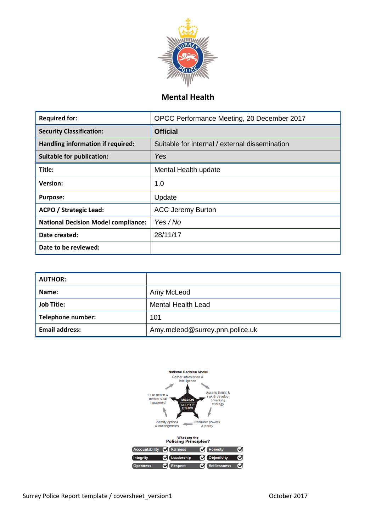

# **Mental Health**

| <b>Required for:</b>                       | OPCC Performance Meeting, 20 December 2017     |
|--------------------------------------------|------------------------------------------------|
| <b>Security Classification:</b>            | <b>Official</b>                                |
| Handling information if required:          | Suitable for internal / external dissemination |
| <b>Suitable for publication:</b>           | Yes                                            |
| Title:                                     | Mental Health update                           |
| <b>Version:</b>                            | 1.0                                            |
| <b>Purpose:</b>                            | Update                                         |
| <b>ACPO / Strategic Lead:</b>              | <b>ACC Jeremy Burton</b>                       |
| <b>National Decision Model compliance:</b> | Yes / No                                       |
| Date created:                              | 28/11/17                                       |
| Date to be reviewed:                       |                                                |

| <b>AUTHOR:</b>        |                                 |
|-----------------------|---------------------------------|
| Name:                 | Amy McLeod                      |
| <b>Job Title:</b>     | <b>Mental Health Lead</b>       |
| Telephone number:     | 101                             |
| <b>Email address:</b> | Amy.mcleod@surrey.pnn.police.uk |

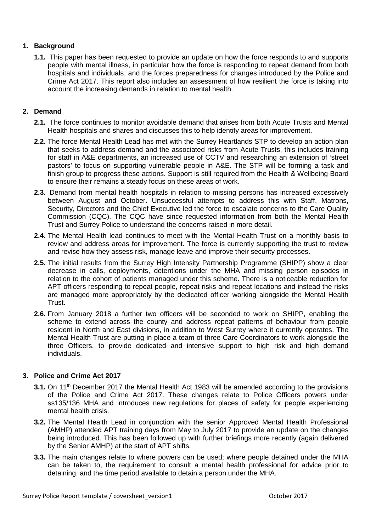# **1. Background**

**1.1.** This paper has been requested to provide an update on how the force responds to and supports people with mental illness, in particular how the force is responding to repeat demand from both hospitals and individuals, and the forces preparedness for changes introduced by the Police and Crime Act 2017. This report also includes an assessment of how resilient the force is taking into account the increasing demands in relation to mental health.

# **2. Demand**

- **2.1.** The force continues to monitor avoidable demand that arises from both Acute Trusts and Mental Health hospitals and shares and discusses this to help identify areas for improvement.
- **2.2.** The force Mental Health Lead has met with the Surrey Heartlands STP to develop an action plan that seeks to address demand and the associated risks from Acute Trusts, this includes training for staff in A&E departments, an increased use of CCTV and researching an extension of 'street pastors' to focus on supporting vulnerable people in A&E. The STP will be forming a task and finish group to progress these actions. Support is still required from the Health & Wellbeing Board to ensure their remains a steady focus on these areas of work.
- **2.3.** Demand from mental health hospitals in relation to missing persons has increased excessively between August and October. Unsuccessful attempts to address this with Staff, Matrons, Security, Directors and the Chief Executive led the force to escalate concerns to the Care Quality Commission (CQC). The CQC have since requested information from both the Mental Health Trust and Surrey Police to understand the concerns raised in more detail.
- **2.4.** The Mental Health lead continues to meet with the Mental Health Trust on a monthly basis to review and address areas for improvement. The force is currently supporting the trust to review and revise how they assess risk, manage leave and improve their security processes.
- **2.5.** The initial results from the Surrey High Intensity Partnership Programme (SHIPP) show a clear decrease in calls, deployments, detentions under the MHA and missing person episodes in relation to the cohort of patients managed under this scheme. There is a noticeable reduction for APT officers responding to repeat people, repeat risks and repeat locations and instead the risks are managed more appropriately by the dedicated officer working alongside the Mental Health Trust.
- **2.6.** From January 2018 a further two officers will be seconded to work on SHIPP, enabling the scheme to extend across the county and address repeat patterns of behaviour from people resident in North and East divisions, in addition to West Surrey where it currently operates. The Mental Health Trust are putting in place a team of three Care Coordinators to work alongside the three Officers, to provide dedicated and intensive support to high risk and high demand individuals.

## **3. Police and Crime Act 2017**

- 3.1. On 11<sup>th</sup> December 2017 the Mental Health Act 1983 will be amended according to the provisions of the Police and Crime Act 2017. These changes relate to Police Officers powers under ss135/136 MHA and introduces new regulations for places of safety for people experiencing mental health crisis.
- **3.2.** The Mental Health Lead in conjunction with the senior Approved Mental Health Professional (AMHP) attended APT training days from May to July 2017 to provide an update on the changes being introduced. This has been followed up with further briefings more recently (again delivered by the Senior AMHP) at the start of APT shifts.
- **3.3.** The main changes relate to where powers can be used; where people detained under the MHA can be taken to, the requirement to consult a mental health professional for advice prior to detaining, and the time period available to detain a person under the MHA.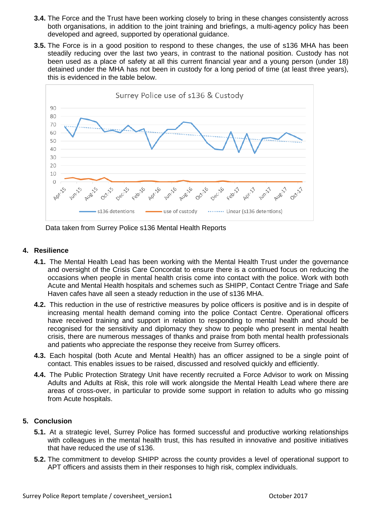- **3.4.** The Force and the Trust have been working closely to bring in these changes consistently across both organisations, in addition to the joint training and briefings, a multi-agency policy has been developed and agreed, supported by operational guidance.
- **3.5.** The Force is in a good position to respond to these changes, the use of s136 MHA has been steadily reducing over the last two years, in contrast to the national position. Custody has not been used as a place of safety at all this current financial year and a young person (under 18) detained under the MHA has not been in custody for a long period of time (at least three years), this is evidenced in the table below.



Data taken from Surrey Police s136 Mental Health Reports

#### **4. Resilience**

- **4.1.** The Mental Health Lead has been working with the Mental Health Trust under the governance and oversight of the Crisis Care Concordat to ensure there is a continued focus on reducing the occasions when people in mental health crisis come into contact with the police. Work with both Acute and Mental Health hospitals and schemes such as SHIPP, Contact Centre Triage and Safe Haven cafes have all seen a steady reduction in the use of s136 MHA.
- **4.2.** This reduction in the use of restrictive measures by police officers is positive and is in despite of increasing mental health demand coming into the police Contact Centre. Operational officers have received training and support in relation to responding to mental health and should be recognised for the sensitivity and diplomacy they show to people who present in mental health crisis, there are numerous messages of thanks and praise from both mental health professionals and patients who appreciate the response they receive from Surrey officers.
- **4.3.** Each hospital (both Acute and Mental Health) has an officer assigned to be a single point of contact. This enables issues to be raised, discussed and resolved quickly and efficiently.
- **4.4.** The Public Protection Strategy Unit have recently recruited a Force Advisor to work on Missing Adults and Adults at Risk, this role will work alongside the Mental Health Lead where there are areas of cross-over, in particular to provide some support in relation to adults who go missing from Acute hospitals.

#### **5. Conclusion**

- **5.1.** At a strategic level, Surrey Police has formed successful and productive working relationships with colleagues in the mental health trust, this has resulted in innovative and positive initiatives that have reduced the use of s136.
- **5.2.** The commitment to develop SHIPP across the county provides a level of operational support to APT officers and assists them in their responses to high risk, complex individuals.